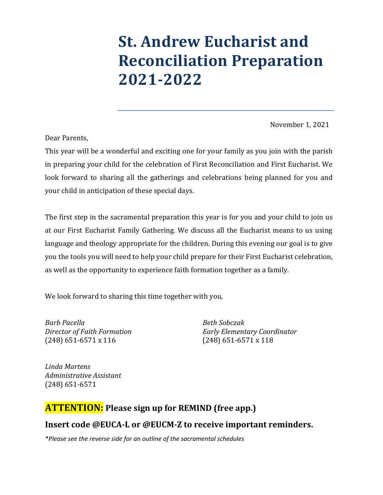# **St. Andrew Eucharist and Reconciliation Preparation 2021-2022**

November 1, 2021

Dear Parents,

This year will be a wonderful and exciting one for your family as you join with the parish in preparing your child for the celebration of First Reconciliation and First Eucharist. We look forward to sharing all the gatherings and celebrations being planned for you and your child in anticipation of these special days.

The first step in the sacramental preparation this year is for you and your child to join us at our First Eucharist Family Gathering. We discuss all the Eucharist means to us using language and theology appropriate for the children. During this evening our goal is to give you the tools you will need to help your child prepare for their First Eucharist celebration, as well as the opportunity to experience faith formation together as a family.

We look forward to sharing this time together with you,

*Barb Pacella Beth Sobczak* (248) 651-6571 x 116 (248) 651-6571 x 118

*Director of Faith Formation Early Elementary Coordinator*

*Linda Martens Administrative Assistant* (248) 651-6571

#### **ATTENTION: Please sign up for REMIND (free app.)**

#### **Insert code @EUCA-L or @EUCM-Z to receive important reminders.**

*\*Please see the reverse side for an outline of the sacramental schedules*